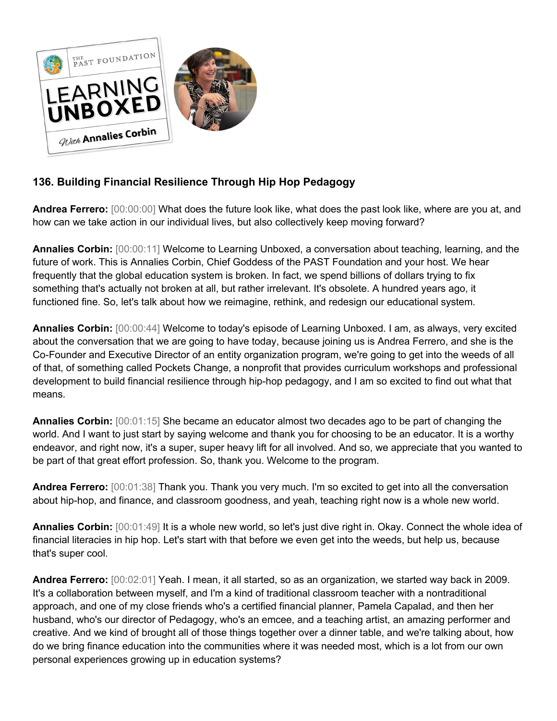

## **136. Building Financial Resilience Through Hip Hop Pedagogy**

**Andrea Ferrero:** [00:00:00] What does the future look like, what does the past look like, where are you at, and how can we take action in our individual lives, but also collectively keep moving forward?

**Annalies Corbin:** [00:00:11] Welcome to Learning Unboxed, a conversation about teaching, learning, and the future of work. This is Annalies Corbin, Chief Goddess of the PAST Foundation and your host. We hear frequently that the global education system is broken. In fact, we spend billions of dollars trying to fix something that's actually not broken at all, but rather irrelevant. It's obsolete. A hundred years ago, it functioned fine. So, let's talk about how we reimagine, rethink, and redesign our educational system.

**Annalies Corbin:** [00:00:44] Welcome to today's episode of Learning Unboxed. I am, as always, very excited about the conversation that we are going to have today, because joining us is Andrea Ferrero, and she is the Co-Founder and Executive Director of an entity organization program, we're going to get into the weeds of all of that, of something called Pockets Change, a nonprofit that provides curriculum workshops and professional development to build financial resilience through hip-hop pedagogy, and I am so excited to find out what that means.

**Annalies Corbin:** [00:01:15] She became an educator almost two decades ago to be part of changing the world. And I want to just start by saying welcome and thank you for choosing to be an educator. It is a worthy endeavor, and right now, it's a super, super heavy lift for all involved. And so, we appreciate that you wanted to be part of that great effort profession. So, thank you. Welcome to the program.

**Andrea Ferrero:** [00:01:38] Thank you. Thank you very much. I'm so excited to get into all the conversation about hip-hop, and finance, and classroom goodness, and yeah, teaching right now is a whole new world.

**Annalies Corbin:** [00:01:49] It is a whole new world, so let's just dive right in. Okay. Connect the whole idea of financial literacies in hip hop. Let's start with that before we even get into the weeds, but help us, because that's super cool.

**Andrea Ferrero:** [00:02:01] Yeah. I mean, it all started, so as an organization, we started way back in 2009. It's a collaboration between myself, and I'm a kind of traditional classroom teacher with a nontraditional approach, and one of my close friends who's a certified financial planner, Pamela Capalad, and then her husband, who's our director of Pedagogy, who's an emcee, and a teaching artist, an amazing performer and creative. And we kind of brought all of those things together over a dinner table, and we're talking about, how do we bring finance education into the communities where it was needed most, which is a lot from our own personal experiences growing up in education systems?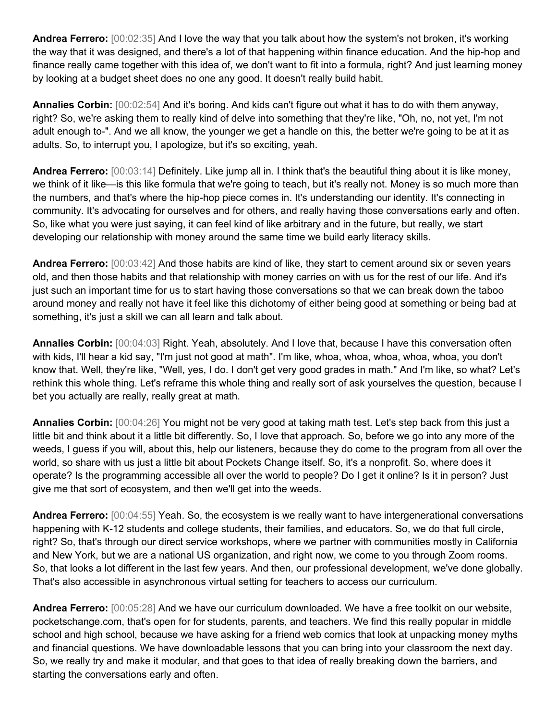**Andrea Ferrero:** [00:02:35] And I love the way that you talk about how the system's not broken, it's working the way that it was designed, and there's a lot of that happening within finance education. And the hip-hop and finance really came together with this idea of, we don't want to fit into a formula, right? And just learning money by looking at a budget sheet does no one any good. It doesn't really build habit.

**Annalies Corbin:** [00:02:54] And it's boring. And kids can't figure out what it has to do with them anyway, right? So, we're asking them to really kind of delve into something that they're like, "Oh, no, not yet, I'm not adult enough to-". And we all know, the younger we get a handle on this, the better we're going to be at it as adults. So, to interrupt you, I apologize, but it's so exciting, yeah.

**Andrea Ferrero:** [00:03:14] Definitely. Like jump all in. I think that's the beautiful thing about it is like money, we think of it like—is this like formula that we're going to teach, but it's really not. Money is so much more than the numbers, and that's where the hip-hop piece comes in. It's understanding our identity. It's connecting in community. It's advocating for ourselves and for others, and really having those conversations early and often. So, like what you were just saying, it can feel kind of like arbitrary and in the future, but really, we start developing our relationship with money around the same time we build early literacy skills.

**Andrea Ferrero:** [00:03:42] And those habits are kind of like, they start to cement around six or seven years old, and then those habits and that relationship with money carries on with us for the rest of our life. And it's just such an important time for us to start having those conversations so that we can break down the taboo around money and really not have it feel like this dichotomy of either being good at something or being bad at something, it's just a skill we can all learn and talk about.

**Annalies Corbin:** [00:04:03] Right. Yeah, absolutely. And I love that, because I have this conversation often with kids, I'll hear a kid say, "I'm just not good at math". I'm like, whoa, whoa, whoa, whoa, whoa, you don't know that. Well, they're like, "Well, yes, I do. I don't get very good grades in math." And I'm like, so what? Let's rethink this whole thing. Let's reframe this whole thing and really sort of ask yourselves the question, because I bet you actually are really, really great at math.

**Annalies Corbin:** [00:04:26] You might not be very good at taking math test. Let's step back from this just a little bit and think about it a little bit differently. So, I love that approach. So, before we go into any more of the weeds, I guess if you will, about this, help our listeners, because they do come to the program from all over the world, so share with us just a little bit about Pockets Change itself. So, it's a nonprofit. So, where does it operate? Is the programming accessible all over the world to people? Do I get it online? Is it in person? Just give me that sort of ecosystem, and then we'll get into the weeds.

**Andrea Ferrero:** [00:04:55] Yeah. So, the ecosystem is we really want to have intergenerational conversations happening with K-12 students and college students, their families, and educators. So, we do that full circle, right? So, that's through our direct service workshops, where we partner with communities mostly in California and New York, but we are a national US organization, and right now, we come to you through Zoom rooms. So, that looks a lot different in the last few years. And then, our professional development, we've done globally. That's also accessible in asynchronous virtual setting for teachers to access our curriculum.

**Andrea Ferrero:** [00:05:28] And we have our curriculum downloaded. We have a free toolkit on our website, pocketschange.com, that's open for for students, parents, and teachers. We find this really popular in middle school and high school, because we have asking for a friend web comics that look at unpacking money myths and financial questions. We have downloadable lessons that you can bring into your classroom the next day. So, we really try and make it modular, and that goes to that idea of really breaking down the barriers, and starting the conversations early and often.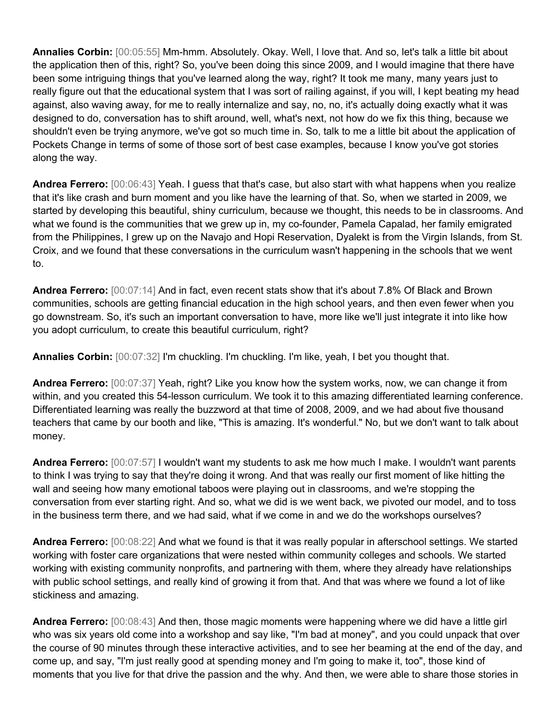**Annalies Corbin:** [00:05:55] Mm-hmm. Absolutely. Okay. Well, I love that. And so, let's talk a little bit about the application then of this, right? So, you've been doing this since 2009, and I would imagine that there have been some intriguing things that you've learned along the way, right? It took me many, many years just to really figure out that the educational system that I was sort of railing against, if you will, I kept beating my head against, also waving away, for me to really internalize and say, no, no, it's actually doing exactly what it was designed to do, conversation has to shift around, well, what's next, not how do we fix this thing, because we shouldn't even be trying anymore, we've got so much time in. So, talk to me a little bit about the application of Pockets Change in terms of some of those sort of best case examples, because I know you've got stories along the way.

**Andrea Ferrero:** [00:06:43] Yeah. I guess that that's case, but also start with what happens when you realize that it's like crash and burn moment and you like have the learning of that. So, when we started in 2009, we started by developing this beautiful, shiny curriculum, because we thought, this needs to be in classrooms. And what we found is the communities that we grew up in, my co-founder, Pamela Capalad, her family emigrated from the Philippines, I grew up on the Navajo and Hopi Reservation, Dyalekt is from the Virgin Islands, from St. Croix, and we found that these conversations in the curriculum wasn't happening in the schools that we went to.

**Andrea Ferrero:** [00:07:14] And in fact, even recent stats show that it's about 7.8% Of Black and Brown communities, schools are getting financial education in the high school years, and then even fewer when you go downstream. So, it's such an important conversation to have, more like we'll just integrate it into like how you adopt curriculum, to create this beautiful curriculum, right?

**Annalies Corbin:** [00:07:32] I'm chuckling. I'm chuckling. I'm like, yeah, I bet you thought that.

**Andrea Ferrero:** [00:07:37] Yeah, right? Like you know how the system works, now, we can change it from within, and you created this 54-lesson curriculum. We took it to this amazing differentiated learning conference. Differentiated learning was really the buzzword at that time of 2008, 2009, and we had about five thousand teachers that came by our booth and like, "This is amazing. It's wonderful." No, but we don't want to talk about money.

**Andrea Ferrero:** [00:07:57] I wouldn't want my students to ask me how much I make. I wouldn't want parents to think I was trying to say that they're doing it wrong. And that was really our first moment of like hitting the wall and seeing how many emotional taboos were playing out in classrooms, and we're stopping the conversation from ever starting right. And so, what we did is we went back, we pivoted our model, and to toss in the business term there, and we had said, what if we come in and we do the workshops ourselves?

**Andrea Ferrero:** [00:08:22] And what we found is that it was really popular in afterschool settings. We started working with foster care organizations that were nested within community colleges and schools. We started working with existing community nonprofits, and partnering with them, where they already have relationships with public school settings, and really kind of growing it from that. And that was where we found a lot of like stickiness and amazing.

**Andrea Ferrero:** [00:08:43] And then, those magic moments were happening where we did have a little girl who was six years old come into a workshop and say like, "I'm bad at money", and you could unpack that over the course of 90 minutes through these interactive activities, and to see her beaming at the end of the day, and come up, and say, "I'm just really good at spending money and I'm going to make it, too", those kind of moments that you live for that drive the passion and the why. And then, we were able to share those stories in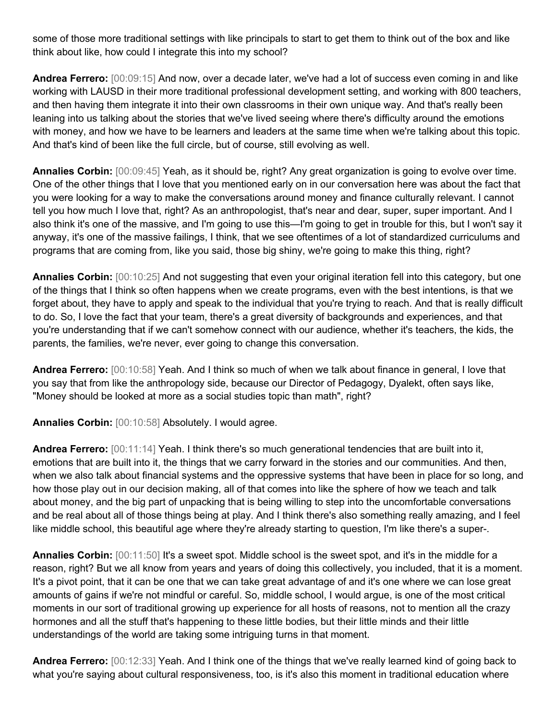some of those more traditional settings with like principals to start to get them to think out of the box and like think about like, how could I integrate this into my school?

**Andrea Ferrero:** [00:09:15] And now, over a decade later, we've had a lot of success even coming in and like working with LAUSD in their more traditional professional development setting, and working with 800 teachers, and then having them integrate it into their own classrooms in their own unique way. And that's really been leaning into us talking about the stories that we've lived seeing where there's difficulty around the emotions with money, and how we have to be learners and leaders at the same time when we're talking about this topic. And that's kind of been like the full circle, but of course, still evolving as well.

**Annalies Corbin:** [00:09:45] Yeah, as it should be, right? Any great organization is going to evolve over time. One of the other things that I love that you mentioned early on in our conversation here was about the fact that you were looking for a way to make the conversations around money and finance culturally relevant. I cannot tell you how much I love that, right? As an anthropologist, that's near and dear, super, super important. And I also think it's one of the massive, and I'm going to use this—I'm going to get in trouble for this, but I won't say it anyway, it's one of the massive failings, I think, that we see oftentimes of a lot of standardized curriculums and programs that are coming from, like you said, those big shiny, we're going to make this thing, right?

**Annalies Corbin:** [00:10:25] And not suggesting that even your original iteration fell into this category, but one of the things that I think so often happens when we create programs, even with the best intentions, is that we forget about, they have to apply and speak to the individual that you're trying to reach. And that is really difficult to do. So, I love the fact that your team, there's a great diversity of backgrounds and experiences, and that you're understanding that if we can't somehow connect with our audience, whether it's teachers, the kids, the parents, the families, we're never, ever going to change this conversation.

**Andrea Ferrero:** [00:10:58] Yeah. And I think so much of when we talk about finance in general, I love that you say that from like the anthropology side, because our Director of Pedagogy, Dyalekt, often says like, "Money should be looked at more as a social studies topic than math", right?

**Annalies Corbin:** [00:10:58] Absolutely. I would agree.

**Andrea Ferrero:** [00:11:14] Yeah. I think there's so much generational tendencies that are built into it, emotions that are built into it, the things that we carry forward in the stories and our communities. And then, when we also talk about financial systems and the oppressive systems that have been in place for so long, and how those play out in our decision making, all of that comes into like the sphere of how we teach and talk about money, and the big part of unpacking that is being willing to step into the uncomfortable conversations and be real about all of those things being at play. And I think there's also something really amazing, and I feel like middle school, this beautiful age where they're already starting to question, I'm like there's a super-.

**Annalies Corbin:** [00:11:50] It's a sweet spot. Middle school is the sweet spot, and it's in the middle for a reason, right? But we all know from years and years of doing this collectively, you included, that it is a moment. It's a pivot point, that it can be one that we can take great advantage of and it's one where we can lose great amounts of gains if we're not mindful or careful. So, middle school, I would argue, is one of the most critical moments in our sort of traditional growing up experience for all hosts of reasons, not to mention all the crazy hormones and all the stuff that's happening to these little bodies, but their little minds and their little understandings of the world are taking some intriguing turns in that moment.

**Andrea Ferrero:** [00:12:33] Yeah. And I think one of the things that we've really learned kind of going back to what you're saying about cultural responsiveness, too, is it's also this moment in traditional education where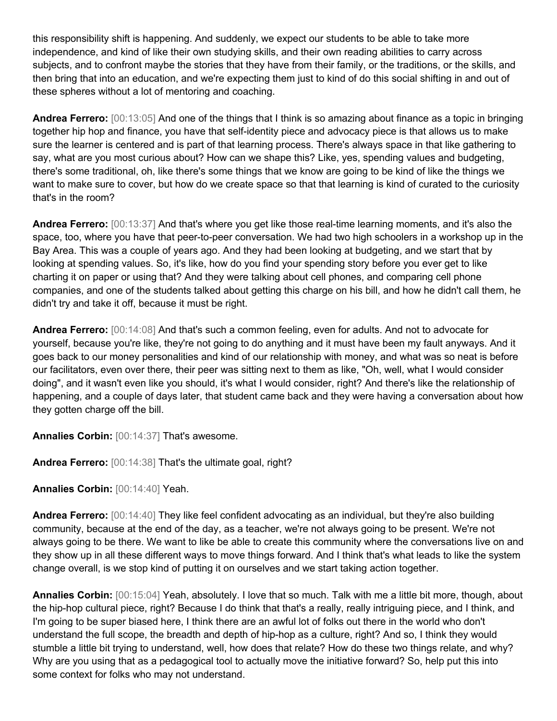this responsibility shift is happening. And suddenly, we expect our students to be able to take more independence, and kind of like their own studying skills, and their own reading abilities to carry across subjects, and to confront maybe the stories that they have from their family, or the traditions, or the skills, and then bring that into an education, and we're expecting them just to kind of do this social shifting in and out of these spheres without a lot of mentoring and coaching.

**Andrea Ferrero:** [00:13:05] And one of the things that I think is so amazing about finance as a topic in bringing together hip hop and finance, you have that self-identity piece and advocacy piece is that allows us to make sure the learner is centered and is part of that learning process. There's always space in that like gathering to say, what are you most curious about? How can we shape this? Like, yes, spending values and budgeting, there's some traditional, oh, like there's some things that we know are going to be kind of like the things we want to make sure to cover, but how do we create space so that that learning is kind of curated to the curiosity that's in the room?

**Andrea Ferrero:** [00:13:37] And that's where you get like those real-time learning moments, and it's also the space, too, where you have that peer-to-peer conversation. We had two high schoolers in a workshop up in the Bay Area. This was a couple of years ago. And they had been looking at budgeting, and we start that by looking at spending values. So, it's like, how do you find your spending story before you ever get to like charting it on paper or using that? And they were talking about cell phones, and comparing cell phone companies, and one of the students talked about getting this charge on his bill, and how he didn't call them, he didn't try and take it off, because it must be right.

**Andrea Ferrero:** [00:14:08] And that's such a common feeling, even for adults. And not to advocate for yourself, because you're like, they're not going to do anything and it must have been my fault anyways. And it goes back to our money personalities and kind of our relationship with money, and what was so neat is before our facilitators, even over there, their peer was sitting next to them as like, "Oh, well, what I would consider doing", and it wasn't even like you should, it's what I would consider, right? And there's like the relationship of happening, and a couple of days later, that student came back and they were having a conversation about how they gotten charge off the bill.

**Annalies Corbin:** [00:14:37] That's awesome.

**Andrea Ferrero:** [00:14:38] That's the ultimate goal, right?

**Annalies Corbin:** [00:14:40] Yeah.

**Andrea Ferrero:** [00:14:40] They like feel confident advocating as an individual, but they're also building community, because at the end of the day, as a teacher, we're not always going to be present. We're not always going to be there. We want to like be able to create this community where the conversations live on and they show up in all these different ways to move things forward. And I think that's what leads to like the system change overall, is we stop kind of putting it on ourselves and we start taking action together.

**Annalies Corbin:** [00:15:04] Yeah, absolutely. I love that so much. Talk with me a little bit more, though, about the hip-hop cultural piece, right? Because I do think that that's a really, really intriguing piece, and I think, and I'm going to be super biased here, I think there are an awful lot of folks out there in the world who don't understand the full scope, the breadth and depth of hip-hop as a culture, right? And so, I think they would stumble a little bit trying to understand, well, how does that relate? How do these two things relate, and why? Why are you using that as a pedagogical tool to actually move the initiative forward? So, help put this into some context for folks who may not understand.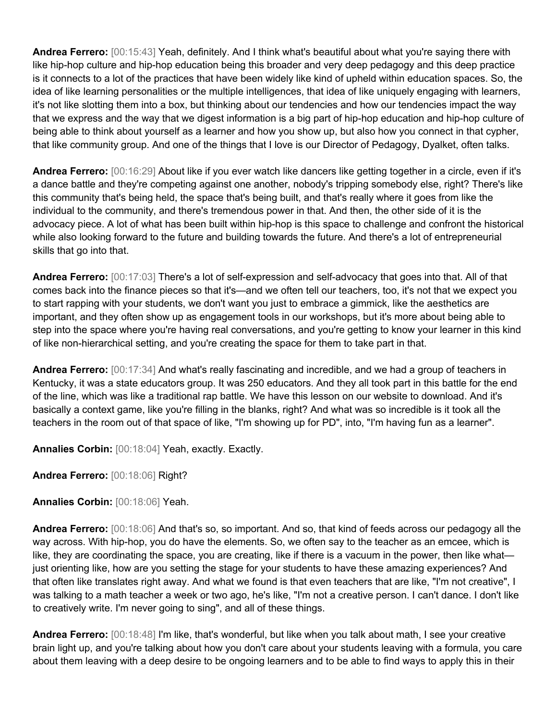**Andrea Ferrero:** [00:15:43] Yeah, definitely. And I think what's beautiful about what you're saying there with like hip-hop culture and hip-hop education being this broader and very deep pedagogy and this deep practice is it connects to a lot of the practices that have been widely like kind of upheld within education spaces. So, the idea of like learning personalities or the multiple intelligences, that idea of like uniquely engaging with learners, it's not like slotting them into a box, but thinking about our tendencies and how our tendencies impact the way that we express and the way that we digest information is a big part of hip-hop education and hip-hop culture of being able to think about yourself as a learner and how you show up, but also how you connect in that cypher, that like community group. And one of the things that I love is our Director of Pedagogy, Dyalket, often talks.

**Andrea Ferrero:** [00:16:29] About like if you ever watch like dancers like getting together in a circle, even if it's a dance battle and they're competing against one another, nobody's tripping somebody else, right? There's like this community that's being held, the space that's being built, and that's really where it goes from like the individual to the community, and there's tremendous power in that. And then, the other side of it is the advocacy piece. A lot of what has been built within hip-hop is this space to challenge and confront the historical while also looking forward to the future and building towards the future. And there's a lot of entrepreneurial skills that go into that.

**Andrea Ferrero:** [00:17:03] There's a lot of self-expression and self-advocacy that goes into that. All of that comes back into the finance pieces so that it's—and we often tell our teachers, too, it's not that we expect you to start rapping with your students, we don't want you just to embrace a gimmick, like the aesthetics are important, and they often show up as engagement tools in our workshops, but it's more about being able to step into the space where you're having real conversations, and you're getting to know your learner in this kind of like non-hierarchical setting, and you're creating the space for them to take part in that.

**Andrea Ferrero:** [00:17:34] And what's really fascinating and incredible, and we had a group of teachers in Kentucky, it was a state educators group. It was 250 educators. And they all took part in this battle for the end of the line, which was like a traditional rap battle. We have this lesson on our website to download. And it's basically a context game, like you're filling in the blanks, right? And what was so incredible is it took all the teachers in the room out of that space of like, "I'm showing up for PD", into, "I'm having fun as a learner".

**Annalies Corbin:** [00:18:04] Yeah, exactly. Exactly.

**Andrea Ferrero:** [00:18:06] Right?

**Annalies Corbin:** [00:18:06] Yeah.

**Andrea Ferrero:** [00:18:06] And that's so, so important. And so, that kind of feeds across our pedagogy all the way across. With hip-hop, you do have the elements. So, we often say to the teacher as an emcee, which is like, they are coordinating the space, you are creating, like if there is a vacuum in the power, then like what just orienting like, how are you setting the stage for your students to have these amazing experiences? And that often like translates right away. And what we found is that even teachers that are like, "I'm not creative", I was talking to a math teacher a week or two ago, he's like, "I'm not a creative person. I can't dance. I don't like to creatively write. I'm never going to sing", and all of these things.

**Andrea Ferrero:** [00:18:48] I'm like, that's wonderful, but like when you talk about math, I see your creative brain light up, and you're talking about how you don't care about your students leaving with a formula, you care about them leaving with a deep desire to be ongoing learners and to be able to find ways to apply this in their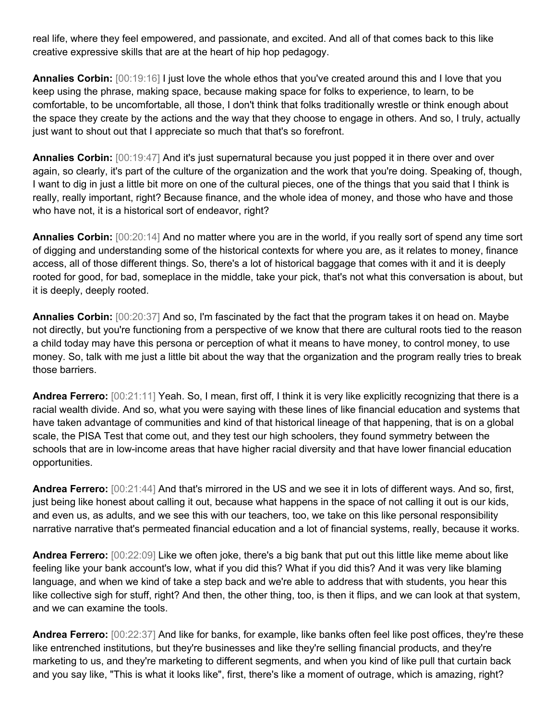real life, where they feel empowered, and passionate, and excited. And all of that comes back to this like creative expressive skills that are at the heart of hip hop pedagogy.

**Annalies Corbin:** [00:19:16] I just love the whole ethos that you've created around this and I love that you keep using the phrase, making space, because making space for folks to experience, to learn, to be comfortable, to be uncomfortable, all those, I don't think that folks traditionally wrestle or think enough about the space they create by the actions and the way that they choose to engage in others. And so, I truly, actually just want to shout out that I appreciate so much that that's so forefront.

**Annalies Corbin:** [00:19:47] And it's just supernatural because you just popped it in there over and over again, so clearly, it's part of the culture of the organization and the work that you're doing. Speaking of, though, I want to dig in just a little bit more on one of the cultural pieces, one of the things that you said that I think is really, really important, right? Because finance, and the whole idea of money, and those who have and those who have not, it is a historical sort of endeavor, right?

**Annalies Corbin:** [00:20:14] And no matter where you are in the world, if you really sort of spend any time sort of digging and understanding some of the historical contexts for where you are, as it relates to money, finance access, all of those different things. So, there's a lot of historical baggage that comes with it and it is deeply rooted for good, for bad, someplace in the middle, take your pick, that's not what this conversation is about, but it is deeply, deeply rooted.

**Annalies Corbin:** [00:20:37] And so, I'm fascinated by the fact that the program takes it on head on. Maybe not directly, but you're functioning from a perspective of we know that there are cultural roots tied to the reason a child today may have this persona or perception of what it means to have money, to control money, to use money. So, talk with me just a little bit about the way that the organization and the program really tries to break those barriers.

**Andrea Ferrero:** [00:21:11] Yeah. So, I mean, first off, I think it is very like explicitly recognizing that there is a racial wealth divide. And so, what you were saying with these lines of like financial education and systems that have taken advantage of communities and kind of that historical lineage of that happening, that is on a global scale, the PISA Test that come out, and they test our high schoolers, they found symmetry between the schools that are in low-income areas that have higher racial diversity and that have lower financial education opportunities.

**Andrea Ferrero:** [00:21:44] And that's mirrored in the US and we see it in lots of different ways. And so, first, just being like honest about calling it out, because what happens in the space of not calling it out is our kids, and even us, as adults, and we see this with our teachers, too, we take on this like personal responsibility narrative narrative that's permeated financial education and a lot of financial systems, really, because it works.

**Andrea Ferrero:** [00:22:09] Like we often joke, there's a big bank that put out this little like meme about like feeling like your bank account's low, what if you did this? What if you did this? And it was very like blaming language, and when we kind of take a step back and we're able to address that with students, you hear this like collective sigh for stuff, right? And then, the other thing, too, is then it flips, and we can look at that system, and we can examine the tools.

**Andrea Ferrero:** [00:22:37] And like for banks, for example, like banks often feel like post offices, they're these like entrenched institutions, but they're businesses and like they're selling financial products, and they're marketing to us, and they're marketing to different segments, and when you kind of like pull that curtain back and you say like, "This is what it looks like", first, there's like a moment of outrage, which is amazing, right?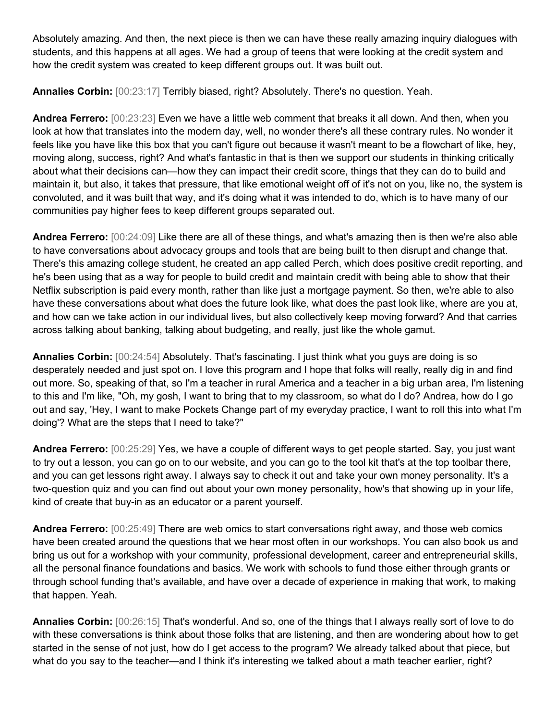Absolutely amazing. And then, the next piece is then we can have these really amazing inquiry dialogues with students, and this happens at all ages. We had a group of teens that were looking at the credit system and how the credit system was created to keep different groups out. It was built out.

**Annalies Corbin:** [00:23:17] Terribly biased, right? Absolutely. There's no question. Yeah.

**Andrea Ferrero:** [00:23:23] Even we have a little web comment that breaks it all down. And then, when you look at how that translates into the modern day, well, no wonder there's all these contrary rules. No wonder it feels like you have like this box that you can't figure out because it wasn't meant to be a flowchart of like, hey, moving along, success, right? And what's fantastic in that is then we support our students in thinking critically about what their decisions can—how they can impact their credit score, things that they can do to build and maintain it, but also, it takes that pressure, that like emotional weight off of it's not on you, like no, the system is convoluted, and it was built that way, and it's doing what it was intended to do, which is to have many of our communities pay higher fees to keep different groups separated out.

**Andrea Ferrero:** [00:24:09] Like there are all of these things, and what's amazing then is then we're also able to have conversations about advocacy groups and tools that are being built to then disrupt and change that. There's this amazing college student, he created an app called Perch, which does positive credit reporting, and he's been using that as a way for people to build credit and maintain credit with being able to show that their Netflix subscription is paid every month, rather than like just a mortgage payment. So then, we're able to also have these conversations about what does the future look like, what does the past look like, where are you at, and how can we take action in our individual lives, but also collectively keep moving forward? And that carries across talking about banking, talking about budgeting, and really, just like the whole gamut.

**Annalies Corbin:** [00:24:54] Absolutely. That's fascinating. I just think what you guys are doing is so desperately needed and just spot on. I love this program and I hope that folks will really, really dig in and find out more. So, speaking of that, so I'm a teacher in rural America and a teacher in a big urban area, I'm listening to this and I'm like, "Oh, my gosh, I want to bring that to my classroom, so what do I do? Andrea, how do I go out and say, 'Hey, I want to make Pockets Change part of my everyday practice, I want to roll this into what I'm doing'? What are the steps that I need to take?"

**Andrea Ferrero:** [00:25:29] Yes, we have a couple of different ways to get people started. Say, you just want to try out a lesson, you can go on to our website, and you can go to the tool kit that's at the top toolbar there, and you can get lessons right away. I always say to check it out and take your own money personality. It's a two-question quiz and you can find out about your own money personality, how's that showing up in your life, kind of create that buy-in as an educator or a parent yourself.

**Andrea Ferrero:** [00:25:49] There are web omics to start conversations right away, and those web comics have been created around the questions that we hear most often in our workshops. You can also book us and bring us out for a workshop with your community, professional development, career and entrepreneurial skills, all the personal finance foundations and basics. We work with schools to fund those either through grants or through school funding that's available, and have over a decade of experience in making that work, to making that happen. Yeah.

**Annalies Corbin:** [00:26:15] That's wonderful. And so, one of the things that I always really sort of love to do with these conversations is think about those folks that are listening, and then are wondering about how to get started in the sense of not just, how do I get access to the program? We already talked about that piece, but what do you say to the teacher—and I think it's interesting we talked about a math teacher earlier, right?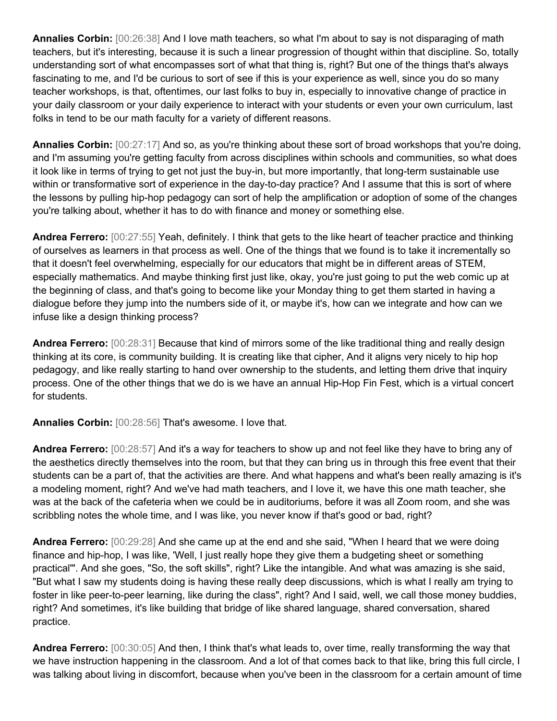**Annalies Corbin:** [00:26:38] And I love math teachers, so what I'm about to say is not disparaging of math teachers, but it's interesting, because it is such a linear progression of thought within that discipline. So, totally understanding sort of what encompasses sort of what that thing is, right? But one of the things that's always fascinating to me, and I'd be curious to sort of see if this is your experience as well, since you do so many teacher workshops, is that, oftentimes, our last folks to buy in, especially to innovative change of practice in your daily classroom or your daily experience to interact with your students or even your own curriculum, last folks in tend to be our math faculty for a variety of different reasons.

**Annalies Corbin:** [00:27:17] And so, as you're thinking about these sort of broad workshops that you're doing, and I'm assuming you're getting faculty from across disciplines within schools and communities, so what does it look like in terms of trying to get not just the buy-in, but more importantly, that long-term sustainable use within or transformative sort of experience in the day-to-day practice? And I assume that this is sort of where the lessons by pulling hip-hop pedagogy can sort of help the amplification or adoption of some of the changes you're talking about, whether it has to do with finance and money or something else.

**Andrea Ferrero:** [00:27:55] Yeah, definitely. I think that gets to the like heart of teacher practice and thinking of ourselves as learners in that process as well. One of the things that we found is to take it incrementally so that it doesn't feel overwhelming, especially for our educators that might be in different areas of STEM, especially mathematics. And maybe thinking first just like, okay, you're just going to put the web comic up at the beginning of class, and that's going to become like your Monday thing to get them started in having a dialogue before they jump into the numbers side of it, or maybe it's, how can we integrate and how can we infuse like a design thinking process?

**Andrea Ferrero:** [00:28:31] Because that kind of mirrors some of the like traditional thing and really design thinking at its core, is community building. It is creating like that cipher, And it aligns very nicely to hip hop pedagogy, and like really starting to hand over ownership to the students, and letting them drive that inquiry process. One of the other things that we do is we have an annual Hip-Hop Fin Fest, which is a virtual concert for students.

**Annalies Corbin:** [00:28:56] That's awesome. I love that.

**Andrea Ferrero:** [00:28:57] And it's a way for teachers to show up and not feel like they have to bring any of the aesthetics directly themselves into the room, but that they can bring us in through this free event that their students can be a part of, that the activities are there. And what happens and what's been really amazing is it's a modeling moment, right? And we've had math teachers, and I love it, we have this one math teacher, she was at the back of the cafeteria when we could be in auditoriums, before it was all Zoom room, and she was scribbling notes the whole time, and I was like, you never know if that's good or bad, right?

**Andrea Ferrero:** [00:29:28] And she came up at the end and she said, "When I heard that we were doing finance and hip-hop, I was like, 'Well, I just really hope they give them a budgeting sheet or something practical'". And she goes, "So, the soft skills", right? Like the intangible. And what was amazing is she said, "But what I saw my students doing is having these really deep discussions, which is what I really am trying to foster in like peer-to-peer learning, like during the class", right? And I said, well, we call those money buddies, right? And sometimes, it's like building that bridge of like shared language, shared conversation, shared practice.

**Andrea Ferrero:** [00:30:05] And then, I think that's what leads to, over time, really transforming the way that we have instruction happening in the classroom. And a lot of that comes back to that like, bring this full circle, I was talking about living in discomfort, because when you've been in the classroom for a certain amount of time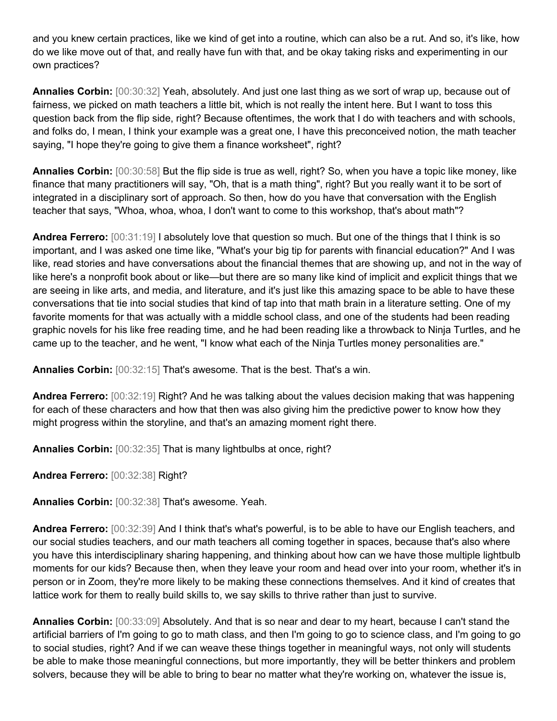and you knew certain practices, like we kind of get into a routine, which can also be a rut. And so, it's like, how do we like move out of that, and really have fun with that, and be okay taking risks and experimenting in our own practices?

**Annalies Corbin:** [00:30:32] Yeah, absolutely. And just one last thing as we sort of wrap up, because out of fairness, we picked on math teachers a little bit, which is not really the intent here. But I want to toss this question back from the flip side, right? Because oftentimes, the work that I do with teachers and with schools, and folks do, I mean, I think your example was a great one, I have this preconceived notion, the math teacher saying, "I hope they're going to give them a finance worksheet", right?

**Annalies Corbin:** [00:30:58] But the flip side is true as well, right? So, when you have a topic like money, like finance that many practitioners will say, "Oh, that is a math thing", right? But you really want it to be sort of integrated in a disciplinary sort of approach. So then, how do you have that conversation with the English teacher that says, "Whoa, whoa, whoa, I don't want to come to this workshop, that's about math"?

**Andrea Ferrero:** [00:31:19] I absolutely love that question so much. But one of the things that I think is so important, and I was asked one time like, "What's your big tip for parents with financial education?" And I was like, read stories and have conversations about the financial themes that are showing up, and not in the way of like here's a nonprofit book about or like—but there are so many like kind of implicit and explicit things that we are seeing in like arts, and media, and literature, and it's just like this amazing space to be able to have these conversations that tie into social studies that kind of tap into that math brain in a literature setting. One of my favorite moments for that was actually with a middle school class, and one of the students had been reading graphic novels for his like free reading time, and he had been reading like a throwback to Ninja Turtles, and he came up to the teacher, and he went, "I know what each of the Ninja Turtles money personalities are."

**Annalies Corbin:** [00:32:15] That's awesome. That is the best. That's a win.

**Andrea Ferrero:** [00:32:19] Right? And he was talking about the values decision making that was happening for each of these characters and how that then was also giving him the predictive power to know how they might progress within the storyline, and that's an amazing moment right there.

**Annalies Corbin:** [00:32:35] That is many lightbulbs at once, right?

**Andrea Ferrero:** [00:32:38] Right?

**Annalies Corbin:** [00:32:38] That's awesome. Yeah.

**Andrea Ferrero:** [00:32:39] And I think that's what's powerful, is to be able to have our English teachers, and our social studies teachers, and our math teachers all coming together in spaces, because that's also where you have this interdisciplinary sharing happening, and thinking about how can we have those multiple lightbulb moments for our kids? Because then, when they leave your room and head over into your room, whether it's in person or in Zoom, they're more likely to be making these connections themselves. And it kind of creates that lattice work for them to really build skills to, we say skills to thrive rather than just to survive.

**Annalies Corbin:** [00:33:09] Absolutely. And that is so near and dear to my heart, because I can't stand the artificial barriers of I'm going to go to math class, and then I'm going to go to science class, and I'm going to go to social studies, right? And if we can weave these things together in meaningful ways, not only will students be able to make those meaningful connections, but more importantly, they will be better thinkers and problem solvers, because they will be able to bring to bear no matter what they're working on, whatever the issue is,